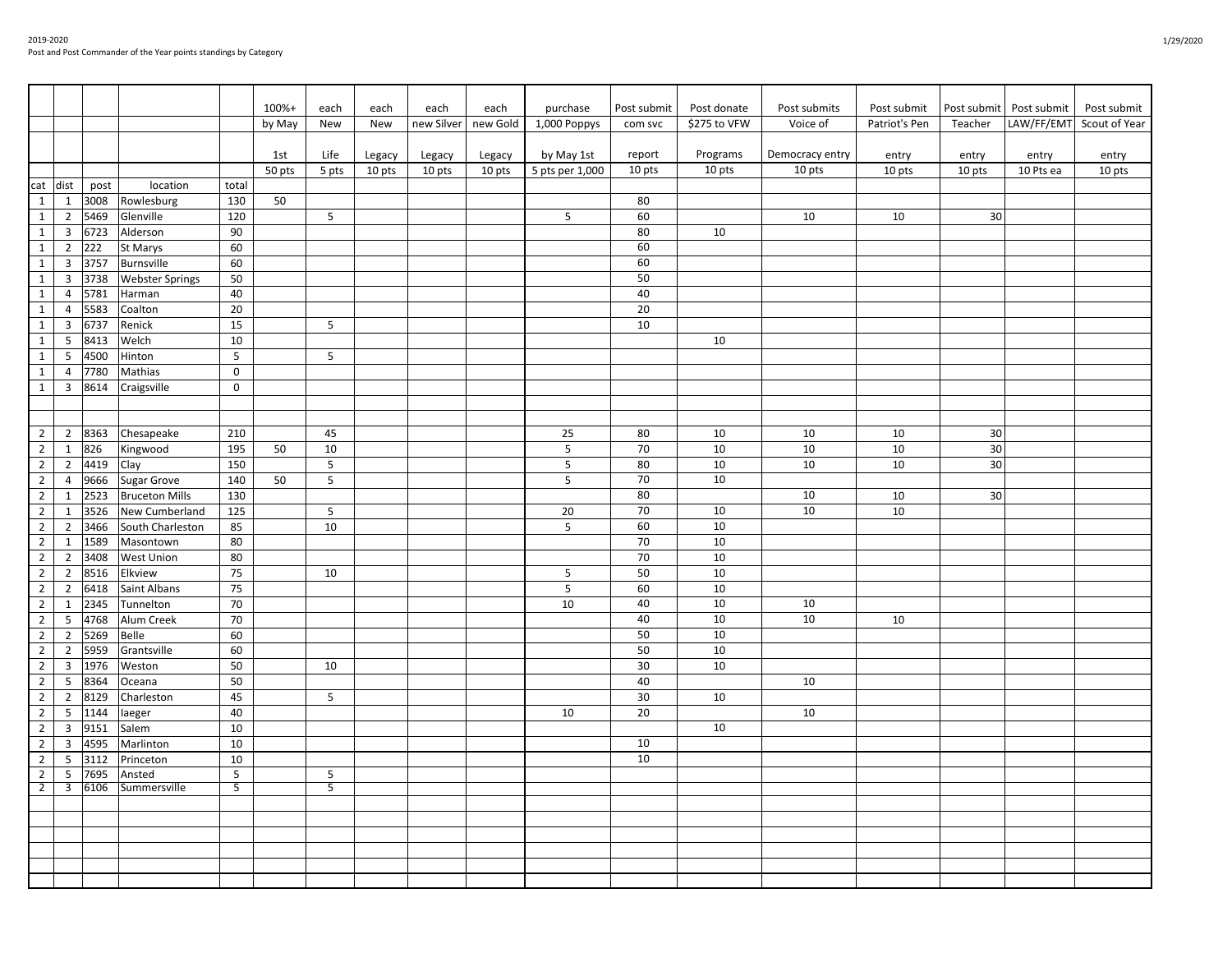|                |                         |      |                        |                 | 100%+  | each            | each   | each       | each     | purchase        | Post submit | Post donate  | Post submits    | Post submit   | Post submit | Post submit | Post submit              |
|----------------|-------------------------|------|------------------------|-----------------|--------|-----------------|--------|------------|----------|-----------------|-------------|--------------|-----------------|---------------|-------------|-------------|--------------------------|
|                |                         |      |                        |                 | by May | New             | New    | new Silver | new Gold | 1,000 Poppys    | com svc     | \$275 to VFW | Voice of        | Patriot's Pen | Teacher     |             | LAW/FF/EMT Scout of Year |
|                |                         |      |                        |                 |        |                 |        |            |          |                 |             |              |                 |               |             |             |                          |
|                |                         |      |                        |                 | 1st    | Life            | Legacy | Legacy     | Legacy   | by May 1st      | report      | Programs     | Democracy entry | entry         | entry       | entry       | entry                    |
|                |                         |      |                        |                 | 50 pts | 5 pts           | 10 pts | 10 pts     | 10 pts   | 5 pts per 1,000 | 10 pts      | 10 pts       | 10 pts          | 10 pts        | 10 pts      | 10 Pts ea   | 10 pts                   |
| cat dist       |                         | post | location               | total           |        |                 |        |            |          |                 |             |              |                 |               |             |             |                          |
| $\mathbf{1}$   | $\mathbf{1}$            | 3008 | Rowlesburg             | 130             | 50     |                 |        |            |          |                 | 80          |              |                 |               |             |             |                          |
| $\mathbf{1}$   | $\overline{2}$          | 5469 | Glenville              | 120             |        | $5\phantom{.0}$ |        |            |          | 5               | 60          |              | 10              | 10            | 30          |             |                          |
| $\mathbf{1}$   | $\overline{3}$          | 6723 | Alderson               | 90              |        |                 |        |            |          |                 | 80          | 10           |                 |               |             |             |                          |
| $\mathbf{1}$   | $\overline{2}$          | 222  | St Marys               | 60              |        |                 |        |            |          |                 | 60          |              |                 |               |             |             |                          |
| $\mathbf{1}$   | $\overline{3}$          | 3757 | Burnsville             | 60              |        |                 |        |            |          |                 | 60          |              |                 |               |             |             |                          |
| $\mathbf{1}$   | $\overline{3}$          | 3738 | <b>Webster Springs</b> | 50              |        |                 |        |            |          |                 | 50          |              |                 |               |             |             |                          |
| $\mathbf{1}$   | $\overline{4}$          | 5781 | Harman                 | 40              |        |                 |        |            |          |                 | 40          |              |                 |               |             |             |                          |
|                |                         |      |                        |                 |        |                 |        |            |          |                 |             |              |                 |               |             |             |                          |
| $\mathbf{1}$   | $\overline{4}$          | 5583 | Coalton                | 20              |        |                 |        |            |          |                 | 20          |              |                 |               |             |             |                          |
| $\mathbf{1}$   | $\overline{3}$          | 6737 | Renick                 | 15              |        | 5               |        |            |          |                 | 10          |              |                 |               |             |             |                          |
| $\mathbf{1}$   | 5                       | 8413 | Welch                  | 10              |        |                 |        |            |          |                 |             | 10           |                 |               |             |             |                          |
| $\mathbf{1}$   | 5                       | 4500 | Hinton                 | 5               |        | 5               |        |            |          |                 |             |              |                 |               |             |             |                          |
| $\mathbf{1}$   | $\overline{4}$          | 7780 | Mathias                | $\mathbf 0$     |        |                 |        |            |          |                 |             |              |                 |               |             |             |                          |
| $\mathbf{1}$   | $\overline{3}$          | 8614 | Craigsville            | $\mathbf 0$     |        |                 |        |            |          |                 |             |              |                 |               |             |             |                          |
|                |                         |      |                        |                 |        |                 |        |            |          |                 |             |              |                 |               |             |             |                          |
|                |                         |      |                        |                 |        |                 |        |            |          |                 |             |              |                 |               |             |             |                          |
| $\overline{2}$ | $\overline{2}$          | 8363 | Chesapeake             | 210             |        | 45              |        |            |          | 25              | 80          | 10           | 10              | 10            | 30          |             |                          |
| $\overline{2}$ | $\mathbf{1}$            | 826  | Kingwood               | 195             | 50     | $10\,$          |        |            |          | 5               | 70          | 10           | 10              | 10            | 30          |             |                          |
| $\overline{2}$ | $\overline{2}$          | 4419 | Clay                   | 150             |        | 5               |        |            |          | 5               | 80          | 10           | 10              | 10            | 30          |             |                          |
| $\overline{2}$ | $\overline{4}$          | 9666 | Sugar Grove            | 140             | 50     | $5\phantom{.0}$ |        |            |          | 5               | 70          | 10           |                 |               |             |             |                          |
| $\overline{2}$ | $\mathbf{1}$            | 2523 | <b>Bruceton Mills</b>  | 130             |        |                 |        |            |          |                 | 80          |              | 10              | 10            | 30          |             |                          |
| $\overline{2}$ | $\mathbf{1}$            | 3526 | New Cumberland         | 125             |        | 5               |        |            |          | 20              | 70          | 10           | 10              | 10            |             |             |                          |
| $\overline{2}$ | $\overline{2}$          | 3466 | South Charleston       | 85              |        | 10              |        |            |          | 5               | 60          | 10           |                 |               |             |             |                          |
| $\overline{2}$ | 1                       | 1589 | Masontown              | 80              |        |                 |        |            |          |                 | 70          | 10           |                 |               |             |             |                          |
| $\overline{2}$ | $\overline{2}$          | 3408 | West Union             | 80              |        |                 |        |            |          |                 | 70          | 10           |                 |               |             |             |                          |
| $\overline{2}$ | $\overline{2}$          | 8516 | Elkview                | 75              |        | 10              |        |            |          | 5               | 50          | 10           |                 |               |             |             |                          |
| $\overline{2}$ | $\overline{2}$          | 6418 | Saint Albans           | 75              |        |                 |        |            |          | 5               | 60          | 10           |                 |               |             |             |                          |
| $\overline{2}$ | $\mathbf 1$             | 2345 | Tunnelton              | 70              |        |                 |        |            |          | 10              | 40          | 10           | 10              |               |             |             |                          |
| $\overline{2}$ | 5                       | 4768 | Alum Creek             | 70              |        |                 |        |            |          |                 | 40          | 10           | 10              | 10            |             |             |                          |
| $\overline{2}$ | $\overline{2}$          | 5269 | Belle                  | 60              |        |                 |        |            |          |                 | 50          | 10           |                 |               |             |             |                          |
| $\overline{2}$ | $\overline{2}$          | 5959 | Grantsville            | 60              |        |                 |        |            |          |                 | 50          | 10           |                 |               |             |             |                          |
| $\overline{2}$ | $\overline{3}$          | 1976 | Weston                 | 50              |        | 10              |        |            |          |                 | 30          | 10           |                 |               |             |             |                          |
| $\overline{2}$ | 5                       | 8364 | Oceana                 | 50              |        |                 |        |            |          |                 | 40          |              | 10              |               |             |             |                          |
| $\overline{2}$ | $\overline{2}$          | 8129 | Charleston             | 45              |        | 5               |        |            |          |                 | 30          | 10           |                 |               |             |             |                          |
| $\overline{2}$ | 5                       | 1144 | laeger                 | 40              |        |                 |        |            |          | 10              | 20          |              | 10              |               |             |             |                          |
| $\overline{2}$ | $\overline{3}$          | 9151 | Salem                  | 10              |        |                 |        |            |          |                 |             | 10           |                 |               |             |             |                          |
| $\overline{2}$ | $\overline{3}$          | 4595 | Marlinton              | 10              |        |                 |        |            |          |                 | 10          |              |                 |               |             |             |                          |
| $\overline{2}$ | 5                       | 3112 | Princeton              | 10              |        |                 |        |            |          |                 | 10          |              |                 |               |             |             |                          |
| $\overline{2}$ | 5                       | 7695 | Ansted                 | $5\phantom{.0}$ |        | 5               |        |            |          |                 |             |              |                 |               |             |             |                          |
| $\overline{2}$ | $\overline{\mathbf{3}}$ | 6106 | Summersville           | $\overline{5}$  |        | $\overline{5}$  |        |            |          |                 |             |              |                 |               |             |             |                          |
|                |                         |      |                        |                 |        |                 |        |            |          |                 |             |              |                 |               |             |             |                          |
|                |                         |      |                        |                 |        |                 |        |            |          |                 |             |              |                 |               |             |             |                          |
|                |                         |      |                        |                 |        |                 |        |            |          |                 |             |              |                 |               |             |             |                          |
|                |                         |      |                        |                 |        |                 |        |            |          |                 |             |              |                 |               |             |             |                          |
|                |                         |      |                        |                 |        |                 |        |            |          |                 |             |              |                 |               |             |             |                          |
|                |                         |      |                        |                 |        |                 |        |            |          |                 |             |              |                 |               |             |             |                          |